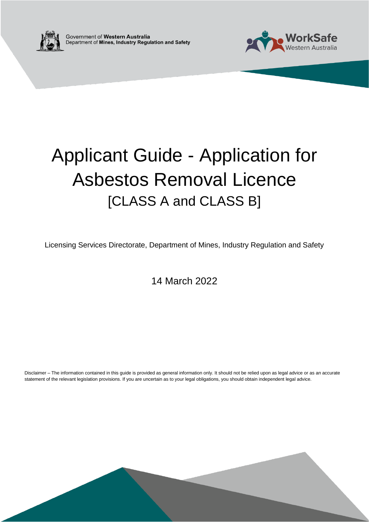



# Applicant Guide - Application for Asbestos Removal Licence [CLASS A and CLASS B]

Licensing Services Directorate, Department of Mines, Industry Regulation and Safety

14 March 2022

Disclaimer – The information contained in this guide is provided as general information only. It should not be relied upon as legal advice or as an accurate statement of the relevant legislation provisions. If you are uncertain as to your legal obligations, you should obtain independent legal advice.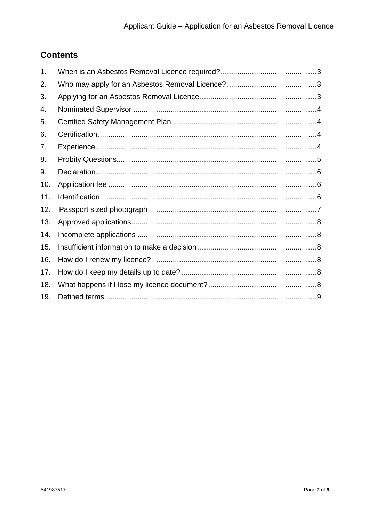## **Contents**

| 1.  |  |
|-----|--|
| 2.  |  |
| 3.  |  |
| 4.  |  |
| 5.  |  |
| 6.  |  |
| 7.  |  |
| 8.  |  |
| 9.  |  |
| 10. |  |
| 11. |  |
| 12. |  |
| 13. |  |
| 14. |  |
| 15. |  |
| 16. |  |
| 17. |  |
| 18. |  |
| 19. |  |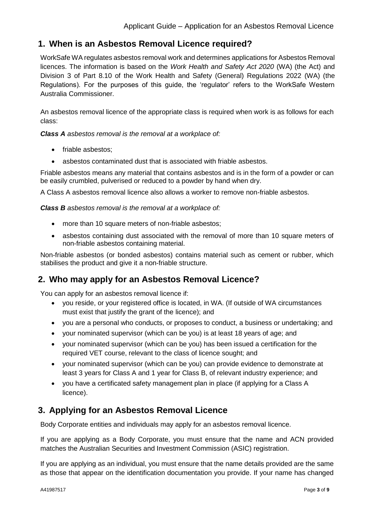## <span id="page-2-0"></span>**1. When is an Asbestos Removal Licence required?**

WorkSafe WA regulates asbestos removal work and determines applications for Asbestos Removal licences. The information is based on the *Work Health and Safety Act 2020* (WA) (the Act) and Division 3 of Part 8.10 of the Work Health and Safety (General) Regulations 2022 (WA) (the Regulations). For the purposes of this guide, the 'regulator' refers to the WorkSafe Western Australia Commissioner.

An asbestos removal licence of the appropriate class is required when work is as follows for each class:

*Class A asbestos removal is the removal at a workplace of:* 

- friable asbestos;
- asbestos contaminated dust that is associated with friable asbestos.

Friable asbestos means any material that contains asbestos and is in the form of a powder or can be easily crumbled, pulverised or reduced to a powder by hand when dry.

A Class A asbestos removal licence also allows a worker to remove non-friable asbestos.

*Class B asbestos removal is the removal at a workplace of:* 

- more than 10 square meters of non-friable asbestos;
- asbestos containing dust associated with the removal of more than 10 square meters of non-friable asbestos containing material.

Non-friable asbestos (or bonded asbestos) contains material such as cement or rubber, which stabilises the product and give it a non-friable structure.

## <span id="page-2-1"></span>**2. Who may apply for an Asbestos Removal Licence?**

You can apply for an asbestos removal licence if:

- you reside, or your registered office is located, in WA. (If outside of WA circumstances must exist that justify the grant of the licence); and
- you are a personal who conducts, or proposes to conduct, a business or undertaking; and
- your nominated supervisor (which can be you) is at least 18 years of age; and
- your nominated supervisor (which can be you) has been issued a certification for the required VET course, relevant to the class of licence sought; and
- your nominated supervisor (which can be you) can provide evidence to demonstrate at least 3 years for Class A and 1 year for Class B, of relevant industry experience; and
- you have a certificated safety management plan in place (if applying for a Class A licence).

## <span id="page-2-2"></span>**3. Applying for an Asbestos Removal Licence**

Body Corporate entities and individuals may apply for an asbestos removal licence.

If you are applying as a Body Corporate, you must ensure that the name and ACN provided matches the Australian Securities and Investment Commission (ASIC) registration.

If you are applying as an individual, you must ensure that the name details provided are the same as those that appear on the identification documentation you provide. If your name has changed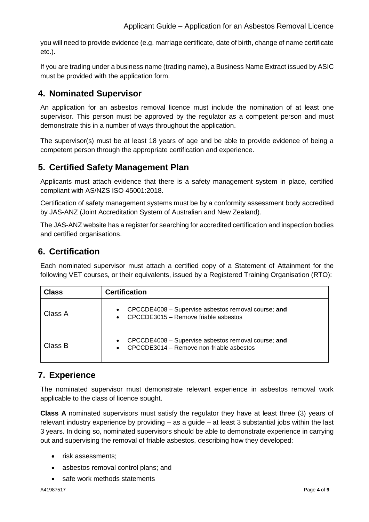you will need to provide evidence (e.g. marriage certificate, date of birth, change of name certificate etc.).

If you are trading under a business name (trading name), a Business Name Extract issued by ASIC must be provided with the application form.

## <span id="page-3-0"></span>**4. Nominated Supervisor**

An application for an asbestos removal licence must include the nomination of at least one supervisor. This person must be approved by the regulator as a competent person and must demonstrate this in a number of ways throughout the application.

The supervisor(s) must be at least 18 years of age and be able to provide evidence of being a competent person through the appropriate certification and experience.

## <span id="page-3-1"></span>**5. Certified Safety Management Plan**

Applicants must attach evidence that there is a safety management system in place, certified compliant with AS/NZS ISO 45001:2018.

Certification of safety management systems must be by a conformity assessment body accredited by JAS-ANZ (Joint Accreditation System of Australian and New Zealand).

The JAS-ANZ website has a register for searching for accredited certification and inspection bodies and certified organisations.

## <span id="page-3-2"></span>**6. Certification**

Each nominated supervisor must attach a certified copy of a Statement of Attainment for the following VET courses, or their equivalents, issued by a Registered Training Organisation (RTO):

| <b>Class</b> | <b>Certification</b>                                                                                                      |  |
|--------------|---------------------------------------------------------------------------------------------------------------------------|--|
| Class A      | CPCCDE4008 - Supervise asbestos removal course; and<br>$\bullet$<br>CPCCDE3015 - Remove friable asbestos                  |  |
| Class B      | CPCCDE4008 - Supervise asbestos removal course; and<br>$\bullet$<br>CPCCDE3014 - Remove non-friable asbestos<br>$\bullet$ |  |

## <span id="page-3-3"></span>**7. Experience**

The nominated supervisor must demonstrate relevant experience in asbestos removal work applicable to the class of licence sought.

**Class A** nominated supervisors must satisfy the regulator they have at least three (3) years of relevant industry experience by providing – as a guide – at least 3 substantial jobs within the last 3 years. In doing so, nominated supervisors should be able to demonstrate experience in carrying out and supervising the removal of friable asbestos, describing how they developed:

- risk assessments:
- asbestos removal control plans; and
- safe work methods statements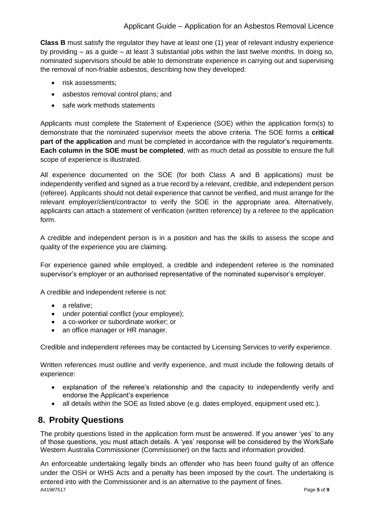#### Applicant Guide – Application for an Asbestos Removal Licence

**Class B** must satisfy the regulator they have at least one (1) year of relevant industry experience by providing – as a guide – at least 3 substantial jobs within the last twelve months. In doing so, nominated supervisors should be able to demonstrate experience in carrying out and supervising the removal of non-friable asbestos, describing how they developed:

- risk assessments;
- asbestos removal control plans; and
- safe work methods statements

Applicants must complete the Statement of Experience (SOE) within the application form(s) to demonstrate that the nominated supervisor meets the above criteria. The SOE forms a **critical part of the application** and must be completed in accordance with the regulator's requirements. **Each column in the SOE must be completed**, with as much detail as possible to ensure the full scope of experience is illustrated.

All experience documented on the SOE (for both Class A and B applications) must be independently verified and signed as a true record by a relevant, credible, and independent person (referee). Applicants should not detail experience that cannot be verified, and must arrange for the relevant employer/client/contractor to verify the SOE in the appropriate area. Alternatively, applicants can attach a statement of verification (written reference) by a referee to the application form.

A credible and independent person is in a position and has the skills to assess the scope and quality of the experience you are claiming.

For experience gained while employed, a credible and independent referee is the nominated supervisor's employer or an authorised representative of the nominated supervisor's employer.

A credible and independent referee is not:

- a relative;
- under potential conflict (your employee);
- a co-worker or subordinate worker; or
- an office manager or HR manager.

Credible and independent referees may be contacted by Licensing Services to verify experience.

Written references must outline and verify experience, and must include the following details of experience:

- explanation of the referee's relationship and the capacity to independently verify and endorse the Applicant's experience
- all details within the SOE as listed above (e.g. dates employed, equipment used etc.).

## <span id="page-4-0"></span>**8. Probity Questions**

The probity questions listed in the application form must be answered. If you answer 'yes' to any of those questions, you must attach details. A 'yes' response will be considered by the WorkSafe Western Australia Commissioner (Commissioner) on the facts and information provided.

A41987517 Page **5** of **9** An enforceable undertaking legally binds an offender who has been found guilty of an offence under the OSH or WHS Acts and a penalty has been imposed by the court. The undertaking is entered into with the Commissioner and is an alternative to the payment of fines.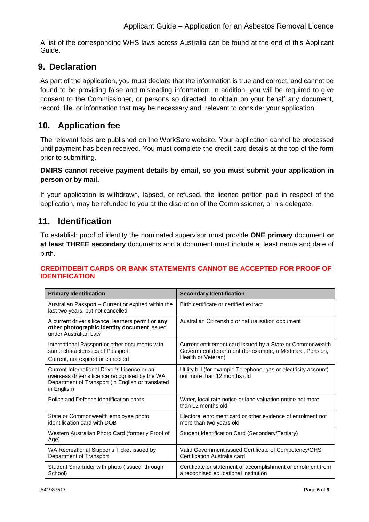A list of the corresponding WHS laws across Australia can be found at the end of this Applicant Guide.

## <span id="page-5-0"></span>**9. Declaration**

As part of the application, you must declare that the information is true and correct, and cannot be found to be providing false and misleading information. In addition, you will be required to give consent to the Commissioner, or persons so directed, to obtain on your behalf any document, record, file, or information that may be necessary and relevant to consider your application

## <span id="page-5-1"></span>**10. Application fee**

The relevant fees are published on the WorkSafe website. Your application cannot be processed until payment has been received. You must complete the credit card details at the top of the form prior to submitting.

#### **DMIRS cannot receive payment details by email, so you must submit your application in person or by mail.**

If your application is withdrawn, lapsed, or refused, the licence portion paid in respect of the application, may be refunded to you at the discretion of the Commissioner, or his delegate.

## <span id="page-5-2"></span>**11. Identification**

To establish proof of identity the nominated supervisor must provide **ONE primary** document **or at least THREE secondary** documents and a document must include at least name and date of birth.

#### **CREDIT/DEBIT CARDS OR BANK STATEMENTS CANNOT BE ACCEPTED FOR PROOF OF IDENTIFICATION**

| <b>Primary Identification</b>                                                                                                                                      | <b>Secondary Identification</b>                                                                                                              |
|--------------------------------------------------------------------------------------------------------------------------------------------------------------------|----------------------------------------------------------------------------------------------------------------------------------------------|
| Australian Passport - Current or expired within the<br>last two years, but not cancelled                                                                           | Birth certificate or certified extract                                                                                                       |
| A current driver's licence, learners permit or any<br>other photographic identity document issued<br>under Australian Law                                          | Australian Citizenship or naturalisation document                                                                                            |
| International Passport or other documents with<br>same characteristics of Passport<br>Current, not expired or cancelled                                            | Current entitlement card issued by a State or Commonwealth<br>Government department (for example, a Medicare, Pension,<br>Health or Veteran) |
| Current International Driver's Licence or an<br>overseas driver's licence recognised by the WA<br>Department of Transport (in English or translated<br>in English) | Utility bill (for example Telephone, gas or electricity account)<br>not more than 12 months old                                              |
| Police and Defence identification cards                                                                                                                            | Water, local rate notice or land valuation notice not more<br>than 12 months old                                                             |
| State or Commonwealth employee photo<br>identification card with DOB                                                                                               | Electoral enrolment card or other evidence of enrolment not<br>more than two years old                                                       |
| Western Australian Photo Card (formerly Proof of<br>Age)                                                                                                           | Student Identification Card (Secondary/Tertiary)                                                                                             |
| WA Recreational Skipper's Ticket issued by<br>Department of Transport                                                                                              | Valid Government issued Certificate of Competency/OHS<br>Certification Australia card                                                        |
| Student Smartrider with photo (issued through<br>School)                                                                                                           | Certificate or statement of accomplishment or enrolment from<br>a recognised educational institution                                         |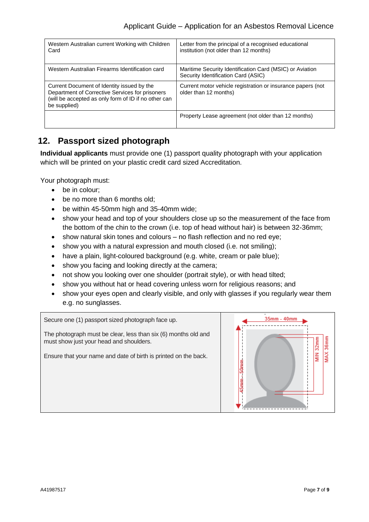| Western Australian current Working with Children<br>Card                                                                                                              | Letter from the principal of a recognised educational<br>institution (not older than 12 months) |
|-----------------------------------------------------------------------------------------------------------------------------------------------------------------------|-------------------------------------------------------------------------------------------------|
| Western Australian Firearms Identification card                                                                                                                       | Maritime Security Identification Card (MSIC) or Aviation<br>Security Identification Card (ASIC) |
| Current Document of Identity issued by the<br>Department of Corrective Services for prisoners<br>(will be accepted as only form of ID if no other can<br>be supplied) | Current motor vehicle registration or insurance papers (not<br>older than 12 months)            |
|                                                                                                                                                                       | Property Lease agreement (not older than 12 months)                                             |

## <span id="page-6-0"></span>**12. Passport sized photograph**

**Individual applicants** must provide one (1) passport quality photograph with your application which will be printed on your plastic credit card sized Accreditation.

Your photograph must:

- be in colour:
- be no more than 6 months old;
- be within 45-50mm high and 35-40mm wide;
- show your head and top of your shoulders close up so the measurement of the face from the bottom of the chin to the crown (i.e. top of head without hair) is between 32-36mm;
- show natural skin tones and colours no flash reflection and no red eye;
- show you with a natural expression and mouth closed (i.e. not smiling);
- have a plain, light-coloured background (e.g. white, cream or pale blue);
- show you facing and looking directly at the camera;
- not show you looking over one shoulder (portrait style), or with head tilted;
- show you without hat or head covering unless worn for religious reasons; and
- show your eyes open and clearly visible, and only with glasses if you regularly wear them e.g. no sunglasses.

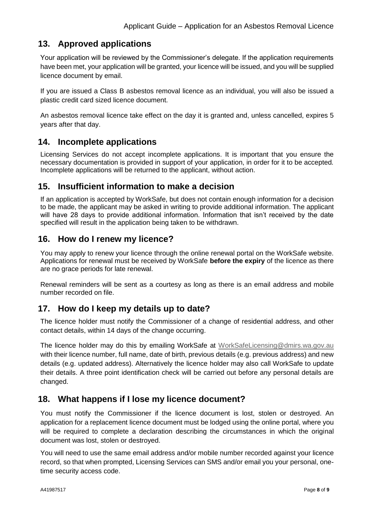## <span id="page-7-0"></span>**13. Approved applications**

Your application will be reviewed by the Commissioner's delegate. If the application requirements have been met, your application will be granted, your licence will be issued, and you will be supplied licence document by email.

If you are issued a Class B asbestos removal licence as an individual, you will also be issued a plastic credit card sized licence document.

An asbestos removal licence take effect on the day it is granted and, unless cancelled, expires 5 years after that day.

## <span id="page-7-1"></span>**14. Incomplete applications**

Licensing Services do not accept incomplete applications. It is important that you ensure the necessary documentation is provided in support of your application, in order for it to be accepted. Incomplete applications will be returned to the applicant, without action.

## <span id="page-7-2"></span>**15. Insufficient information to make a decision**

If an application is accepted by WorkSafe, but does not contain enough information for a decision to be made, the applicant may be asked in writing to provide additional information. The applicant will have 28 days to provide additional information. Information that isn't received by the date specified will result in the application being taken to be withdrawn.

## <span id="page-7-3"></span>**16. How do I renew my licence?**

You may apply to renew your licence through the online renewal portal on the WorkSafe website. Applications for renewal must be received by WorkSafe **before the expiry** of the licence as there are no grace periods for late renewal.

Renewal reminders will be sent as a courtesy as long as there is an email address and mobile number recorded on file.

## <span id="page-7-4"></span>**17. How do I keep my details up to date?**

The licence holder must notify the Commissioner of a change of residential address, and other contact details, within 14 days of the change occurring.

The licence holder may do this by emailing WorkSafe at [WorkSafeLicensing@dmirs.wa.gov.au](mailto:WorkSafeLicensing@dmirs.wa.gov.au) with their licence number, full name, date of birth, previous details (e.g. previous address) and new details (e.g. updated address). Alternatively the licence holder may also call WorkSafe to update their details. A three point identification check will be carried out before any personal details are changed.

## <span id="page-7-5"></span>**18. What happens if I lose my licence document?**

You must notify the Commissioner if the licence document is lost, stolen or destroyed. An application for a replacement licence document must be lodged using the online portal, where you will be required to complete a declaration describing the circumstances in which the original document was lost, stolen or destroyed.

You will need to use the same email address and/or mobile number recorded against your licence record, so that when prompted, Licensing Services can SMS and/or email you your personal, onetime security access code.